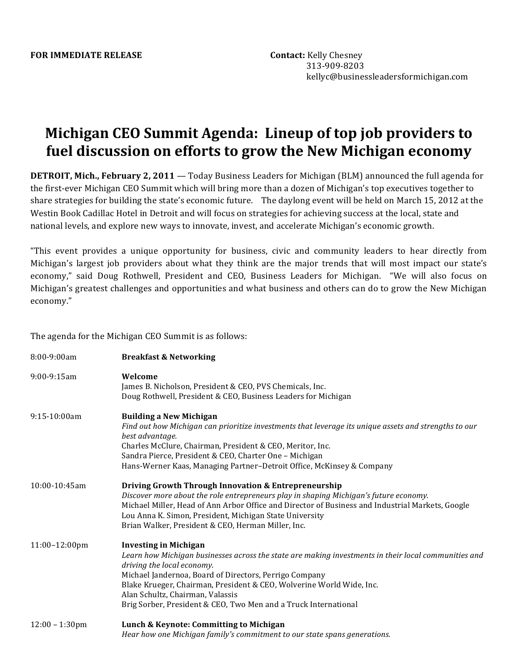## **Michigan CEO Summit Agenda: Lineup of top job providers to** fuel discussion on efforts to grow the New Michigan economy

**DETROIT, Mich., February 2, 2011** — Today Business Leaders for Michigan (BLM) announced the full agenda for the first-ever Michigan CEO Summit which will bring more than a dozen of Michigan's top executives together to share strategies for building the state's economic future. The daylong event will be held on March 15, 2012 at the Westin Book Cadillac Hotel in Detroit and will focus on strategies for achieving success at the local, state and national levels, and explore new ways to innovate, invest, and accelerate Michigan's economic growth.

"This event provides a unique opportunity for business, civic and community leaders to hear directly from Michigan's largest job providers about what they think are the major trends that will most impact our state's economy," said Doug Rothwell, President and CEO, Business Leaders for Michigan. "We will also focus on Michigan's greatest challenges and opportunities and what business and others can do to grow the New Michigan economy."

The agenda for the Michigan CEO Summit is as follows:

| 8:00-9:00am       | <b>Breakfast &amp; Networking</b>                                                                                                                                                                                                                                                                                                                                                                           |
|-------------------|-------------------------------------------------------------------------------------------------------------------------------------------------------------------------------------------------------------------------------------------------------------------------------------------------------------------------------------------------------------------------------------------------------------|
| 9:00-9:15am       | Welcome<br>James B. Nicholson, President & CEO, PVS Chemicals, Inc.<br>Doug Rothwell, President & CEO, Business Leaders for Michigan                                                                                                                                                                                                                                                                        |
| 9:15-10:00am      | <b>Building a New Michigan</b><br>Find out how Michigan can prioritize investments that leverage its unique assets and strengths to our<br>best advantage.<br>Charles McClure, Chairman, President & CEO, Meritor, Inc.<br>Sandra Pierce, President & CEO, Charter One - Michigan<br>Hans-Werner Kaas, Managing Partner-Detroit Office, McKinsey & Company                                                  |
| 10:00-10:45am     | Driving Growth Through Innovation & Entrepreneurship<br>Discover more about the role entrepreneurs play in shaping Michigan's future economy.<br>Michael Miller, Head of Ann Arbor Office and Director of Business and Industrial Markets, Google<br>Lou Anna K. Simon, President, Michigan State University<br>Brian Walker, President & CEO, Herman Miller, Inc.                                          |
| 11:00-12:00pm     | <b>Investing in Michigan</b><br>Learn how Michigan businesses across the state are making investments in their local communities and<br>driving the local economy.<br>Michael Jandernoa, Board of Directors, Perrigo Company<br>Blake Krueger, Chairman, President & CEO, Wolverine World Wide, Inc.<br>Alan Schultz, Chairman, Valassis<br>Brig Sorber, President & CEO, Two Men and a Truck International |
| $12:00 - 1:30$ pm | Lunch & Keynote: Committing to Michigan<br>Hear how one Michigan family's commitment to our state spans generations.                                                                                                                                                                                                                                                                                        |